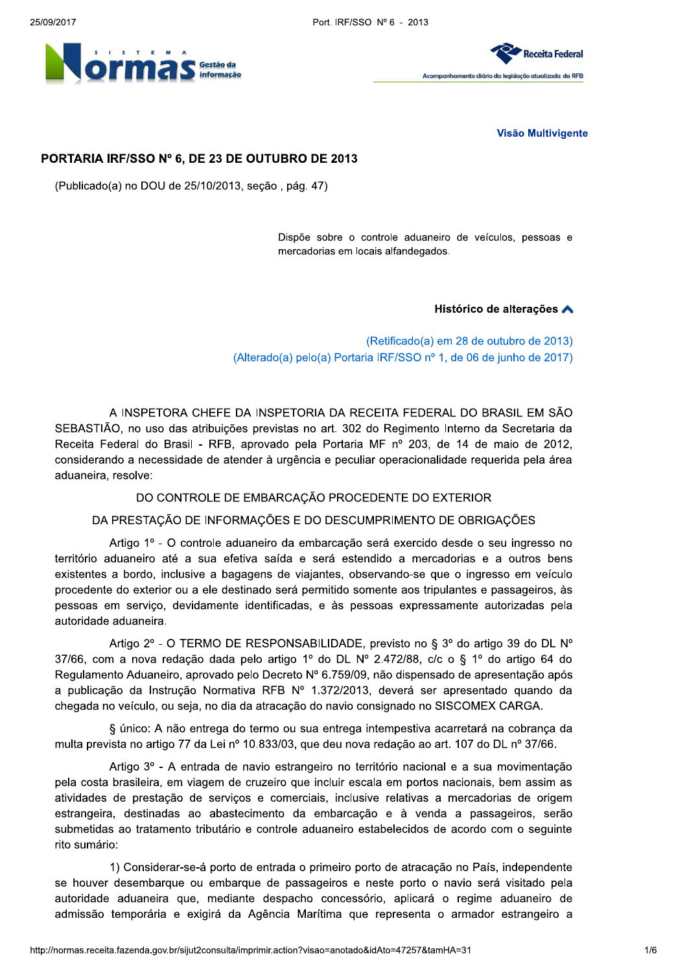Port. IRF/SSO Nº 6 - 2013





**Visão Multivigente** 

# PORTARIA IRF/SSO Nº 6, DE 23 DE OUTUBRO DE 2013

(Publicado(a) no DOU de 25/10/2013, seção, pág. 47)

Dispõe sobre o controle aduaneiro de veículos, pessoas e mercadorias em locais alfandegados.

Histórico de alterações A

(Retificado(a) em 28 de outubro de 2013) (Alterado(a) pelo(a) Portaria IRF/SSO nº 1, de 06 de junho de 2017)

A INSPETORA CHEFE DA INSPETORIA DA RECEITA FEDERAL DO BRASIL EM SÃO SEBASTIÃO, no uso das atribuições previstas no art. 302 do Regimento Interno da Secretaria da Receita Federal do Brasil - RFB, aprovado pela Portaria MF nº 203, de 14 de maio de 2012, considerando a necessidade de atender à urgência e peculiar operacionalidade requerida pela área aduaneira, resolve:

DO CONTROLE DE EMBARCAÇÃO PROCEDENTE DO EXTERIOR

DA PRESTAÇÃO DE INFORMAÇÕES E DO DESCUMPRIMENTO DE OBRIGAÇÕES

Artigo 1º - O controle aduaneiro da embarcação será exercido desde o seu ingresso no território aduaneiro até a sua efetiva saída e será estendido a mercadorias e a outros bens existentes a bordo, inclusive a bagagens de viajantes, observando-se que o ingresso em veículo procedente do exterior ou a ele destinado será permitido somente aos tripulantes e passageiros, às pessoas em serviço, devidamente identificadas, e às pessoas expressamente autorizadas pela autoridade aduaneira.

Artigo 2º - O TERMO DE RESPONSABILIDADE, previsto no § 3º do artigo 39 do DL Nº 37/66, com a nova redação dada pelo artigo 1º do DL Nº 2.472/88, c/c o § 1º do artigo 64 do Regulamento Aduaneiro, aprovado pelo Decreto Nº 6.759/09, não dispensado de apresentação após a publicação da Instrução Normativa RFB Nº 1.372/2013, deverá ser apresentado quando da chegada no veículo, ou seja, no dia da atracação do navio consignado no SISCOMEX CARGA.

§ único: A não entrega do termo ou sua entrega intempestiva acarretará na cobrança da multa prevista no artigo 77 da Lei nº 10.833/03, que deu nova redação ao art. 107 do DL nº 37/66.

Artigo 3º - A entrada de navio estrangeiro no território nacional e a sua movimentação pela costa brasileira, em viagem de cruzeiro que incluir escala em portos nacionais, bem assim as atividades de prestação de serviços e comerciais, inclusive relativas a mercadorias de origem estrangeira, destinadas ao abastecimento da embarcação e à venda a passageiros, serão submetidas ao tratamento tributário e controle aduaneiro estabelecidos de acordo com o seguinte rito sumário:

1) Considerar-se-á porto de entrada o primeiro porto de atracação no País, independente se houver desembarque ou embarque de passageiros e neste porto o navio será visitado pela autoridade aduaneira que, mediante despacho concessório, aplicará o regime aduaneiro de admissão temporária e exigirá da Agência Marítima que representa o armador estrangeiro a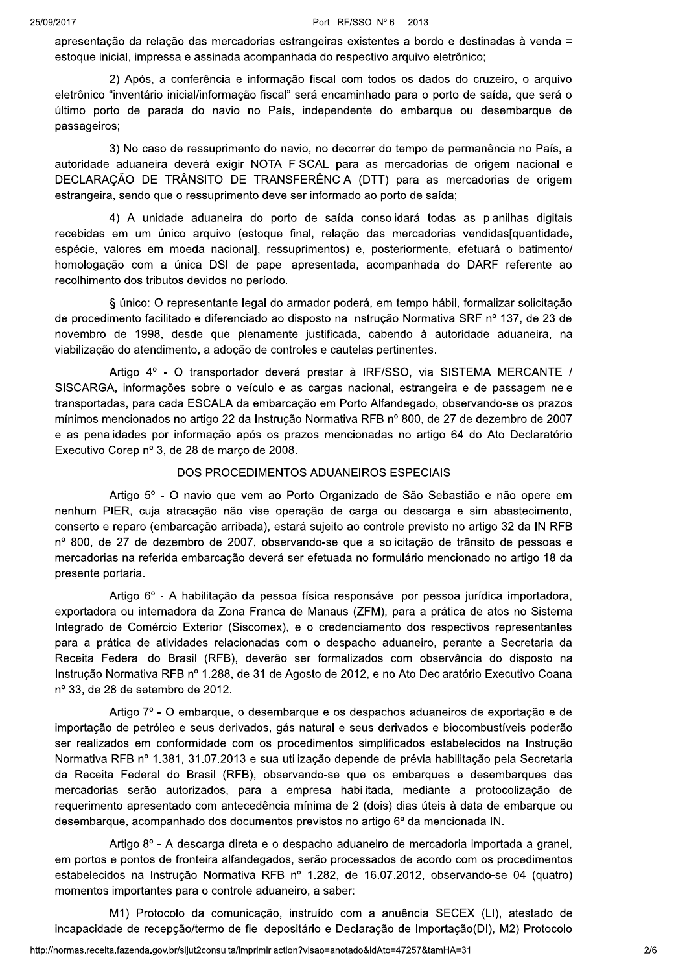apresentação da relação das mercadorias estrangeiras existentes a bordo e destinadas à venda = estoque inicial, impressa e assinada acompanhada do respectivo arquivo eletrônico;

2) Após, a conferência e informação fiscal com todos os dados do cruzeiro, o arquivo eletrônico "inventário inicial/informação fiscal" será encaminhado para o porto de saída, que será o último porto de parada do navio no País, independente do embarque ou desembarque de passageiros;

3) No caso de ressuprimento do navio, no decorrer do tempo de permanência no País, a autoridade aduaneira deverá exigir NOTA FISCAL para as mercadorias de origem nacional e DECLARAÇÃO DE TRÂNSITO DE TRANSFERÊNCIA (DTT) para as mercadorias de origem estrangeira, sendo que o ressuprimento deve ser informado ao porto de saída;

4) A unidade aduaneira do porto de saída consolidará todas as planilhas digitais recebidas em um único arguivo (estogue final, relação das mercadorias vendidas quantidade, espécie, valores em moeda nacional], ressuprimentos) e, posteriormente, efetuará o batimento/ homologação com a única DSI de papel apresentada, acompanhada do DARF referente ao recolhimento dos tributos devidos no período.

§ único: O representante legal do armador poderá, em tempo hábil, formalizar solicitação de procedimento facilitado e diferenciado ao disposto na Instrução Normativa SRF nº 137, de 23 de novembro de 1998, desde que plenamente justificada, cabendo à autoridade aduaneira, na viabilização do atendimento, a adoção de controles e cautelas pertinentes.

Artigo 4º - O transportador deverá prestar à IRF/SSO, via SISTEMA MERCANTE / SISCARGA, informações sobre o veículo e as cargas nacional, estrangeira e de passagem nele transportadas, para cada ESCALA da embarcação em Porto Alfandegado, observando-se os prazos mínimos mencionados no artigo 22 da Instrução Normativa RFB nº 800, de 27 de dezembro de 2007 e as penalidades por informação após os prazos mencionadas no artigo 64 do Ato Declaratório Executivo Corep nº 3, de 28 de marco de 2008.

#### DOS PROCEDIMENTOS ADUANEIROS ESPECIAIS

Artigo 5º - O navio que vem ao Porto Organizado de São Sebastião e não opere em nenhum PIER, cuja atracação não vise operação de carga ou descarga e sim abastecimento, conserto e reparo (embarcação arribada), estará sujeito ao controle previsto no artigo 32 da IN RFB nº 800, de 27 de dezembro de 2007, observando-se que a solicitação de trânsito de pessoas e mercadorias na referida embarcação deverá ser efetuada no formulário mencionado no artigo 18 da presente portaria.

Artigo 6º - A habilitação da pessoa física responsável por pessoa jurídica importadora, exportadora ou internadora da Zona Franca de Manaus (ZFM), para a prática de atos no Sistema Integrado de Comércio Exterior (Siscomex), e o credenciamento dos respectivos representantes para a prática de atividades relacionadas com o despacho aduaneiro, perante a Secretaria da Receita Federal do Brasil (RFB), deverão ser formalizados com observância do disposto na Instrução Normativa RFB nº 1.288, de 31 de Agosto de 2012, e no Ato Declaratório Executivo Coana nº 33, de 28 de setembro de 2012.

Artigo 7º - O embarque, o desembarque e os despachos aduaneiros de exportação e de importação de petróleo e seus derivados, gás natural e seus derivados e biocombustíveis poderão ser realizados em conformidade com os procedimentos simplificados estabelecidos na Instrução Normativa RFB nº 1.381, 31.07.2013 e sua utilização depende de prévia habilitação pela Secretaria da Receita Federal do Brasil (RFB), observando-se que os embarques e desembarques das mercadorias serão autorizados, para a empresa habilitada, mediante a protocolização de requerimento apresentado com antecedência mínima de 2 (dois) dias úteis à data de embarque ou desembarque, acompanhado dos documentos previstos no artigo 6º da mencionada IN.

Artigo 8º - A descarga direta e o despacho aduaneiro de mercadoria importada a granel. em portos e pontos de fronteira alfandegados, serão processados de acordo com os procedimentos estabelecidos na Instrução Normativa RFB nº 1.282, de 16.07.2012, observando-se 04 (quatro) momentos importantes para o controle aduaneiro, a saber:

M1) Protocolo da comunicação, instruído com a anuência SECEX (LI), atestado de incapacidade de recepção/termo de fiel depositário e Declaração de Importação(DI), M2) Protocolo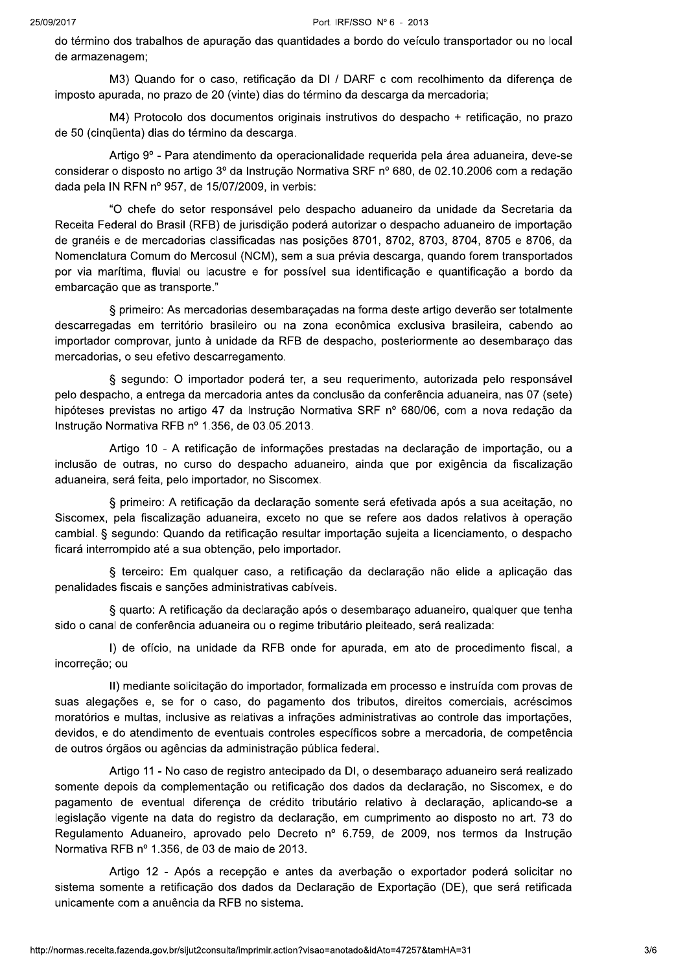do término dos trabalhos de apuração das quantidades a bordo do veículo transportador ou no local de armazenagem;

M3) Quando for o caso, retificação da DI / DARF c com recolhimento da diferença de imposto apurada, no prazo de 20 (vinte) dias do término da descarga da mercadoria;

M4) Protocolo dos documentos originais instrutivos do despacho + retificação, no prazo de 50 (cinqüenta) dias do término da descarga.

Artigo 9º - Para atendimento da operacionalidade reguerida pela área aduaneira, deve-se considerar o disposto no artigo 3º da Instrução Normativa SRF nº 680, de 02.10.2006 com a redação dada pela IN RFN nº 957, de 15/07/2009, in verbis:

"O chefe do setor responsável pelo despacho aduaneiro da unidade da Secretaria da Receita Federal do Brasil (RFB) de jurisdição poderá autorizar o despacho aduaneiro de importação de granéis e de mercadorias classificadas nas posições 8701, 8702, 8703, 8704, 8705 e 8706, da Nomenclatura Comum do Mercosul (NCM), sem a sua prévia descarga, quando forem transportados por via marítima, fluvial ou lacustre e for possível sua identificação e quantificação a bordo da embarcação que as transporte."

§ primeiro: As mercadorias desembaraçadas na forma deste artigo deverão ser totalmente descarregadas em território brasileiro ou na zona econômica exclusiva brasileira, cabendo ao importador comprovar, junto à unidade da RFB de despacho, posteriormente ao desembaraço das mercadorias, o seu efetivo descarregamento.

§ segundo: O importador poderá ter, a seu reguerimento, autorizada pelo responsável pelo despacho, a entrega da mercadoria antes da conclusão da conferência aduaneira, nas 07 (sete) hipóteses previstas no artigo 47 da Instrução Normativa SRF nº 680/06, com a nova redação da Instrução Normativa RFB nº 1.356, de 03.05.2013.

Artigo 10 - A retificação de informações prestadas na declaração de importação, ou a inclusão de outras, no curso do despacho aduaneiro, ainda que por exigência da fiscalização aduaneira, será feita, pelo importador, no Siscomex.

§ primeiro: A retificação da declaração somente será efetivada após a sua aceitação, no Siscomex, pela fiscalização aduaneira, exceto no que se refere aos dados relativos à operação cambial. § segundo: Quando da retificação resultar importação sujeita a licenciamento, o despacho ficará interrompido até a sua obtenção, pelo importador.

§ terceiro: Em qualquer caso, a retificação da declaração não elide a aplicação das penalidades fiscais e sanções administrativas cabíveis.

§ quarto: A retificação da declaração após o desembaraço aduaneiro, qualquer que tenha sido o canal de conferência aduaneira ou o regime tributário pleiteado, será realizada:

I) de ofício, na unidade da RFB onde for apurada, em ato de procedimento fiscal, a incorreção; ou

II) mediante solicitação do importador, formalizada em processo e instruída com provas de suas alegações e, se for o caso, do pagamento dos tributos, direitos comerciais, acréscimos moratórios e multas, inclusive as relativas a infrações administrativas ao controle das importações. devidos, e do atendimento de eventuais controles específicos sobre a mercadoria, de competência de outros órgãos ou agências da administração pública federal.

Artigo 11 - No caso de registro antecipado da DI, o desembaraço aduaneiro será realizado somente depois da complementação ou retificação dos dados da declaração, no Siscomex, e do pagamento de eventual diferença de crédito tributário relativo à declaração, aplicando-se a legislação vigente na data do registro da declaração, em cumprimento ao disposto no art. 73 do Regulamento Aduaneiro, aprovado pelo Decreto nº 6.759, de 2009, nos termos da Instrução Normativa RFB nº 1.356, de 03 de maio de 2013.

Artigo 12 - Após a recepção e antes da averbação o exportador poderá solicitar no sistema somente a retificação dos dados da Declaração de Exportação (DE), que será retificada unicamente com a anuência da RFB no sistema.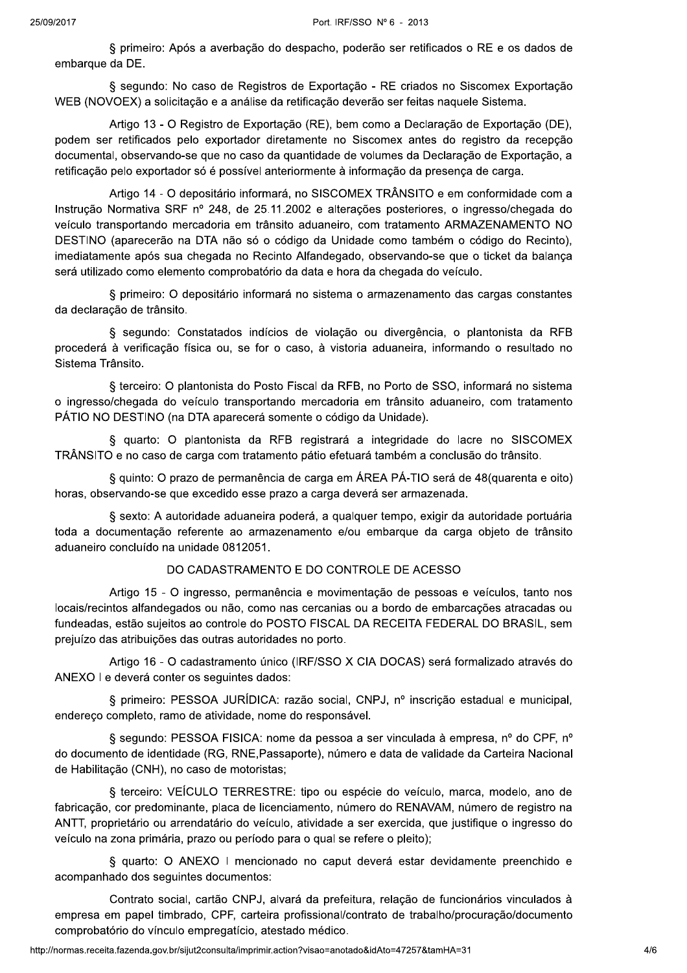§ primeiro: Após a averbação do despacho, poderão ser retificados o RE e os dados de embarque da DE.

§ segundo: No caso de Registros de Exportação - RE criados no Siscomex Exportação WEB (NOVOEX) a solicitação e a análise da retificação deverão ser feitas naquele Sistema.

Artigo 13 - O Registro de Exportação (RE), bem como a Declaração de Exportação (DE), podem ser retificados pelo exportador diretamente no Siscomex antes do registro da recepção documental, observando-se que no caso da quantidade de volumes da Declaração de Exportação, a retificação pelo exportador só é possível anteriormente à informação da presença de carga.

Artigo 14 - O depositário informará, no SISCOMEX TRÂNSITO e em conformidade com a Instrução Normativa SRF nº 248, de 25.11.2002 e alterações posteriores, o ingresso/chegada do veículo transportando mercadoria em trânsito aduaneiro, com tratamento ARMAZENAMENTO NO DESTINO (aparecerão na DTA não só o código da Unidade como também o código do Recinto), imediatamente após sua chegada no Recinto Alfandegado, observando-se que o ticket da balanca será utilizado como elemento comprobatório da data e hora da chegada do veículo.

§ primeiro: O depositário informará no sistema o armazenamento das cargas constantes da declaração de trânsito.

§ segundo: Constatados indícios de violação ou divergência, o plantonista da RFB procederá à verificação física ou, se for o caso, à vistoria aduaneira, informando o resultado no Sistema Trânsito.

§ terceiro: O plantonista do Posto Fiscal da RFB, no Porto de SSO, informará no sistema o ingresso/chegada do veículo transportando mercadoria em trânsito aduaneiro, com tratamento PÁTIO NO DESTINO (na DTA aparecerá somente o código da Unidade).

§ quarto: O plantonista da RFB registrará a integridade do lacre no SISCOMEX TRÂNSITO e no caso de carga com tratamento pátio efetuará também a conclusão do trânsito.

§ quinto: O prazo de permanência de carga em ÁREA PÁ-TIO será de 48 (quarenta e oito) horas, observando-se que excedido esse prazo a carga deverá ser armazenada.

§ sexto: A autoridade aduaneira poderá, a qualquer tempo, exigir da autoridade portuária toda a documentação referente ao armazenamento e/ou embarque da carga objeto de trânsito aduaneiro concluído na unidade 0812051.

## DO CADASTRAMENTO E DO CONTROLE DE ACESSO

Artigo 15 - O ingresso, permanência e movimentação de pessoas e veículos, tanto nos locais/recintos alfandegados ou não, como nas cercanias ou a bordo de embarcações atracadas ou fundeadas, estão sujeitos ao controle do POSTO FISCAL DA RECEITA FEDERAL DO BRASIL, sem prejuízo das atribuições das outras autoridades no porto.

Artigo 16 - O cadastramento único (IRF/SSO X CIA DOCAS) será formalizado através do ANEXO I e deverá conter os sequintes dados:

§ primeiro: PESSOA JURÍDICA: razão social, CNPJ, nº inscrição estadual e municipal, endereço completo, ramo de atividade, nome do responsável.

§ segundo: PESSOA FISICA: nome da pessoa a ser vinculada à empresa, nº do CPF, nº do documento de identidade (RG, RNE, Passaporte), número e data de validade da Carteira Nacional de Habilitação (CNH), no caso de motoristas;

§ terceiro: VEÍCULO TERRESTRE: tipo ou espécie do veículo, marca, modelo, ano de fabricação, cor predominante, placa de licenciamento, número do RENAVAM, número de registro na ANTT, proprietário ou arrendatário do veículo, atividade a ser exercida, que justifique o ingresso do veículo na zona primária, prazo ou período para o qual se refere o pleito);

§ quarto: O ANEXO I mencionado no caput deverá estar devidamente preenchido e acompanhado dos seguintes documentos:

Contrato social, cartão CNPJ, alvará da prefeitura, relação de funcionários vinculados à empresa em papel timbrado, CPF, carteira profissional/contrato de trabalho/procuração/documento comprobatório do vínculo empregatício, atestado médico,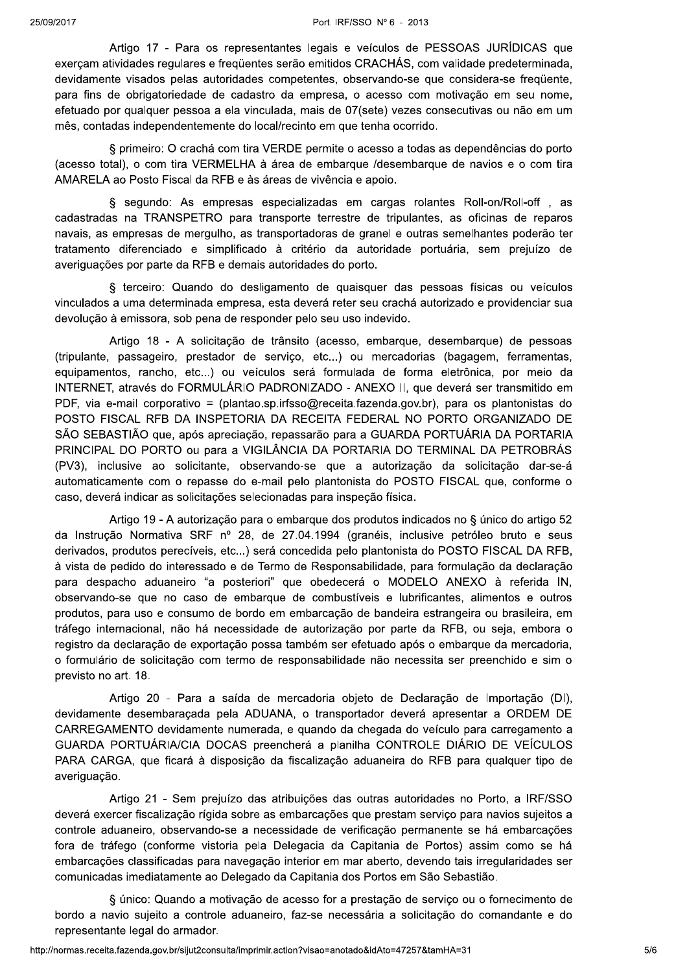Artigo 17 - Para os representantes legais e veículos de PESSOAS JURÍDICAS que exerçam atividades regulares e freqüentes serão emitidos CRACHÁS, com validade predeterminada, devidamente visados pelas autoridades competentes, observando-se que considera-se freqüente, para fins de obrigatoriedade de cadastro da empresa, o acesso com motivação em seu nome, efetuado por qualquer pessoa a ela vinculada, mais de 07(sete) vezes consecutivas ou não em um mês, contadas independentemente do local/recinto em que tenha ocorrido.

§ primeiro: O crachá com tira VERDE permite o acesso a todas as dependências do porto (acesso total), o com tira VERMELHA à área de embarque /desembarque de navios e o com tira AMARELA ao Posto Fiscal da RFB e às áreas de vivência e apoio.

§ segundo: As empresas especializadas em cargas rolantes Roll-on/Roll-off, as cadastradas na TRANSPETRO para transporte terrestre de tripulantes, as oficinas de reparos navais, as empresas de mergulho, as transportadoras de granel e outras semelhantes poderão ter tratamento diferenciado e simplificado à critério da autoridade portuária, sem prejuízo de averiguações por parte da RFB e demais autoridades do porto.

§ terceiro: Quando do desligamento de quaisquer das pessoas físicas ou veículos vinculados a uma determinada empresa, esta deverá reter seu crachá autorizado e providenciar sua devolução à emissora, sob pena de responder pelo seu uso indevido.

Artigo 18 - A solicitação de trânsito (acesso, embarque, desembarque) de pessoas (tripulante, passageiro, prestador de serviço, etc...) ou mercadorias (bagagem, ferramentas, equipamentos, rancho, etc...) ou veículos será formulada de forma eletrônica, por meio da INTERNET, através do FORMULÁRIO PADRONIZADO - ANEXO II, que deverá ser transmitido em PDF, via e-mail corporativo = (plantao.sp.irfsso@receita.fazenda.gov.br), para os plantonistas do POSTO FISCAL RFB DA INSPETORIA DA RECEITA FEDERAL NO PORTO ORGANIZADO DE SÃO SEBASTIÃO que, após apreciação, repassarão para a GUARDA PORTUÁRIA DA PORTARIA PRINCIPAL DO PORTO ou para a VIGILÂNCIA DA PORTARIA DO TERMINAL DA PETROBRÁS (PV3), inclusive ao solicitante, observando-se que a autorização da solicitação dar-se-á automaticamente com o repasse do e-mail pelo plantonista do POSTO FISCAL que, conforme o caso, deverá indicar as solicitações selecionadas para inspeção física.

Artigo 19 - A autorização para o embarque dos produtos indicados no § único do artigo 52 da Instrução Normativa SRF nº 28, de 27.04.1994 (granéis, inclusive petróleo bruto e seus derivados, produtos perecíveis, etc...) será concedida pelo plantonista do POSTO FISCAL DA RFB. à vista de pedido do interessado e de Termo de Responsabilidade, para formulação da declaração para despacho aduaneiro "a posteriori" que obedecerá o MODELO ANEXO à referida IN, observando-se que no caso de embarque de combustíveis e lubrificantes, alimentos e outros produtos, para uso e consumo de bordo em embarcação de bandeira estrangeira ou brasileira, em tráfego internacional, não há necessidade de autorização por parte da RFB, ou seja, embora o registro da declaração de exportação possa também ser efetuado após o embarque da mercadoria. o formulário de solicitação com termo de responsabilidade não necessita ser preenchido e sim o previsto no art. 18.

Artigo 20 - Para a saída de mercadoria objeto de Declaração de Importação (DI), devidamente desembaraçada pela ADUANA, o transportador deverá apresentar a ORDEM DE CARREGAMENTO devidamente numerada, e quando da chegada do veículo para carregamento a GUARDA PORTUÁRIA/CIA DOCAS preencherá a planilha CONTROLE DIÁRIO DE VEÍCULOS PARA CARGA, que ficará à disposição da fiscalização aduaneira do RFB para qualquer tipo de averiguação.

Artigo 21 - Sem prejuízo das atribuições das outras autoridades no Porto, a IRF/SSO deverá exercer fiscalização rígida sobre as embarcações que prestam servico para navios sujeitos a controle aduaneiro, observando-se a necessidade de verificação permanente se há embarcações fora de tráfego (conforme vistoria pela Delegacia da Capitania de Portos) assim como se há embarcações classificadas para navegação interior em mar aberto, devendo tais irregularidades ser comunicadas imediatamente ao Delegado da Capitania dos Portos em São Sebastião.

§ único: Quando a motivação de acesso for a prestação de serviço ou o fornecimento de bordo a navio sujeito a controle aduaneiro, faz-se necessária a solicitação do comandante e do representante legal do armador.